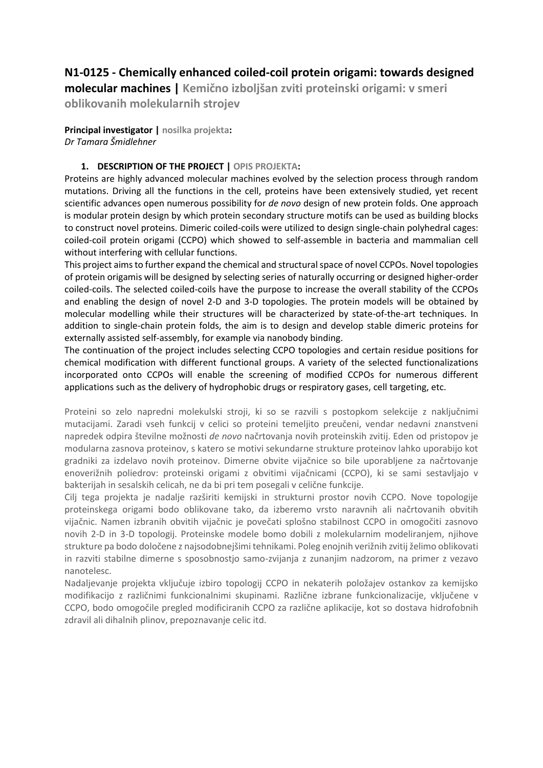# **N1-0125 - Chemically enhanced coiled-coil protein origami: towards designed**

**molecular machines | Kemično izboljšan zviti proteinski origami: v smeri oblikovanih molekularnih strojev**

**Principal investigator | nosilka projekta:** *Dr Tamara Šmidlehner*

## **1. DESCRIPTION OF THE PROJECT | OPIS PROJEKTA:**

Proteins are highly advanced molecular machines evolved by the selection process through random mutations. Driving all the functions in the cell, proteins have been extensively studied, yet recent scientific advances open numerous possibility for *de novo* design of new protein folds. One approach is modular protein design by which protein secondary structure motifs can be used as building blocks to construct novel proteins. Dimeric coiled-coils were utilized to design single-chain polyhedral cages: coiled-coil protein origami (CCPO) which showed to self-assemble in bacteria and mammalian cell without interfering with cellular functions.

This project aims to further expand the chemical and structural space of novel CCPOs. Novel topologies of protein origamis will be designed by selecting series of naturally occurring or designed higher-order coiled-coils. The selected coiled-coils have the purpose to increase the overall stability of the CCPOs and enabling the design of novel 2-D and 3-D topologies. The protein models will be obtained by molecular modelling while their structures will be characterized by state-of-the-art techniques. In addition to single-chain protein folds, the aim is to design and develop stable dimeric proteins for externally assisted self-assembly, for example via nanobody binding.

The continuation of the project includes selecting CCPO topologies and certain residue positions for chemical modification with different functional groups. A variety of the selected functionalizations incorporated onto CCPOs will enable the screening of modified CCPOs for numerous different applications such as the delivery of hydrophobic drugs or respiratory gases, cell targeting, etc.

Proteini so zelo napredni molekulski stroji, ki so se razvili s postopkom selekcije z naključnimi mutacijami. Zaradi vseh funkcij v celici so proteini temeljito preučeni, vendar nedavni znanstveni napredek odpira številne možnosti *de novo* načrtovanja novih proteinskih zvitij. Eden od pristopov je modularna zasnova proteinov, s katero se motivi sekundarne strukture proteinov lahko uporabijo kot gradniki za izdelavo novih proteinov. Dimerne obvite vijačnice so bile uporabljene za načrtovanje enoverižnih poliedrov: proteinski origami z obvitimi vijačnicami (CCPO), ki se sami sestavljajo v bakterijah in sesalskih celicah, ne da bi pri tem posegali v celične funkcije.

Cilj tega projekta je nadalje razširiti kemijski in strukturni prostor novih CCPO. Nove topologije proteinskega origami bodo oblikovane tako, da izberemo vrsto naravnih ali načrtovanih obvitih vijačnic. Namen izbranih obvitih vijačnic je povečati splošno stabilnost CCPO in omogočiti zasnovo novih 2-D in 3-D topologij. Proteinske modele bomo dobili z molekularnim modeliranjem, njihove strukture pa bodo določene z najsodobnejšimi tehnikami. Poleg enojnih verižnih zvitij želimo oblikovati in razviti stabilne dimerne s sposobnostjo samo-zvijanja z zunanjim nadzorom, na primer z vezavo nanotelesc.

Nadaljevanje projekta vključuje izbiro topologij CCPO in nekaterih položajev ostankov za kemijsko modifikacijo z različnimi funkcionalnimi skupinami. Različne izbrane funkcionalizacije, vključene v CCPO, bodo omogočile pregled modificiranih CCPO za različne aplikacije, kot so dostava hidrofobnih zdravil ali dihalnih plinov, prepoznavanje celic itd.